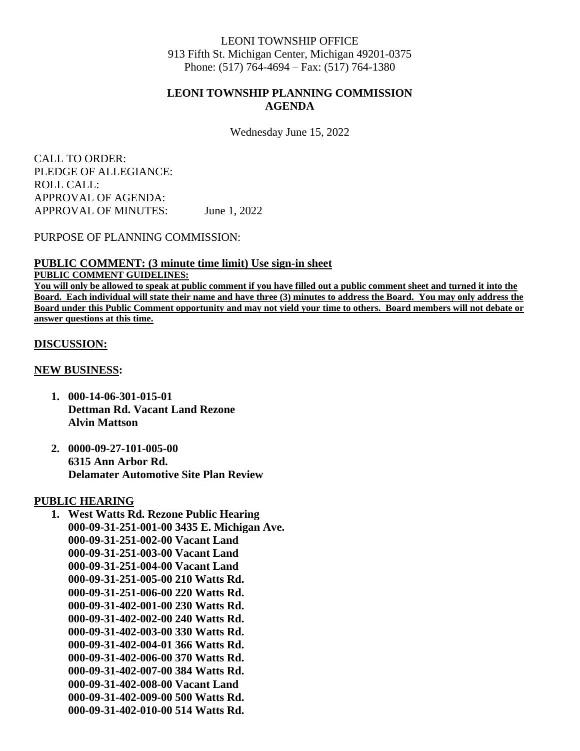#### LEONI TOWNSHIP OFFICE 913 Fifth St. Michigan Center, Michigan 49201-0375 Phone: (517) 764-4694 – Fax: (517) 764-1380

### **LEONI TOWNSHIP PLANNING COMMISSION AGENDA**

Wednesday June 15, 2022

CALL TO ORDER: PLEDGE OF ALLEGIANCE: ROLL CALL: APPROVAL OF AGENDA: APPROVAL OF MINUTES: June 1, 2022

PURPOSE OF PLANNING COMMISSION:

### **PUBLIC COMMENT: (3 minute time limit) Use sign-in sheet**

### **PUBLIC COMMENT GUIDELINES:**

**You will only be allowed to speak at public comment if you have filled out a public comment sheet and turned it into the Board. Each individual will state their name and have three (3) minutes to address the Board. You may only address the Board under this Public Comment opportunity and may not yield your time to others. Board members will not debate or answer questions at this time.** 

#### **DISCUSSION:**

#### **NEW BUSINESS:**

- **1. 000-14-06-301-015-01 Dettman Rd. Vacant Land Rezone Alvin Mattson**
- **2. 0000-09-27-101-005-00 6315 Ann Arbor Rd. Delamater Automotive Site Plan Review**

#### **PUBLIC HEARING**

**1. West Watts Rd. Rezone Public Hearing 000-09-31-251-001-00 3435 E. Michigan Ave. 000-09-31-251-002-00 Vacant Land 000-09-31-251-003-00 Vacant Land 000-09-31-251-004-00 Vacant Land 000-09-31-251-005-00 210 Watts Rd. 000-09-31-251-006-00 220 Watts Rd. 000-09-31-402-001-00 230 Watts Rd. 000-09-31-402-002-00 240 Watts Rd. 000-09-31-402-003-00 330 Watts Rd. 000-09-31-402-004-01 366 Watts Rd. 000-09-31-402-006-00 370 Watts Rd. 000-09-31-402-007-00 384 Watts Rd. 000-09-31-402-008-00 Vacant Land 000-09-31-402-009-00 500 Watts Rd. 000-09-31-402-010-00 514 Watts Rd.**